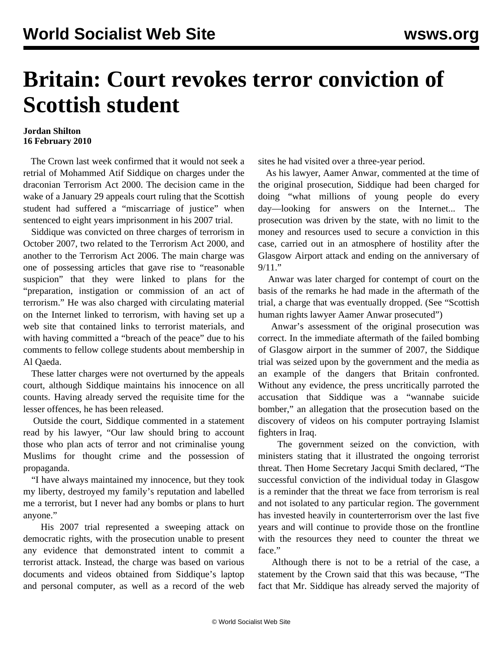## **Britain: Court revokes terror conviction of Scottish student**

## **Jordan Shilton 16 February 2010**

 The Crown last week confirmed that it would not seek a retrial of Mohammed Atif Siddique on charges under the draconian Terrorism Act 2000. The decision came in the wake of a January 29 appeals court ruling that the Scottish student had suffered a "miscarriage of justice" when sentenced to eight years imprisonment in his 2007 trial.

 Siddique was convicted on three charges of terrorism in October 2007, two related to the Terrorism Act 2000, and another to the Terrorism Act 2006. The main charge was one of possessing articles that gave rise to "reasonable suspicion" that they were linked to plans for the "preparation, instigation or commission of an act of terrorism." He was also charged with circulating material on the Internet linked to terrorism, with having set up a web site that contained links to terrorist materials, and with having committed a "breach of the peace" due to his comments to fellow college students about membership in Al Qaeda.

 These latter charges were not overturned by the appeals court, although Siddique maintains his innocence on all counts. Having already served the requisite time for the lesser offences, he has been released.

 Outside the court, Siddique commented in a statement read by his lawyer, "Our law should bring to account those who plan acts of terror and not criminalise young Muslims for thought crime and the possession of propaganda.

 "I have always maintained my innocence, but they took my liberty, destroyed my family's reputation and labelled me a terrorist, but I never had any bombs or plans to hurt anyone."

 His 2007 trial represented a sweeping attack on democratic rights, with the prosecution unable to present any evidence that demonstrated intent to commit a terrorist attack. Instead, the charge was based on various documents and videos obtained from Siddique's laptop and personal computer, as well as a record of the web sites he had visited over a three-year period.

 As his lawyer, Aamer Anwar, commented at the time of the original prosecution, Siddique had been charged for doing "what millions of young people do every day—looking for answers on the Internet... The prosecution was driven by the state, with no limit to the money and resources used to secure a conviction in this case, carried out in an atmosphere of hostility after the Glasgow Airport attack and ending on the anniversary of 9/11."

 Anwar was later charged for contempt of court on the basis of the remarks he had made in the aftermath of the trial, a charge that was eventually dropped. (See ["Scottish](/en/articles/2007/dec2007/scot-d17.shtml) [human rights lawyer Aamer Anwar prosecuted"](/en/articles/2007/dec2007/scot-d17.shtml))

 Anwar's assessment of the original prosecution was correct. In the immediate aftermath of the failed bombing of Glasgow airport in the summer of 2007, the Siddique trial was seized upon by the government and the media as an example of the dangers that Britain confronted. Without any evidence, the press uncritically parroted the accusation that Siddique was a "wannabe suicide bomber," an allegation that the prosecution based on the discovery of videos on his computer portraying Islamist fighters in Iraq.

 The government seized on the conviction, with ministers stating that it illustrated the ongoing terrorist threat. Then Home Secretary Jacqui Smith declared, "The successful conviction of the individual today in Glasgow is a reminder that the threat we face from terrorism is real and not isolated to any particular region. The government has invested heavily in counterterrorism over the last five years and will continue to provide those on the frontline with the resources they need to counter the threat we face."

 Although there is not to be a retrial of the case, a statement by the Crown said that this was because, "The fact that Mr. Siddique has already served the majority of